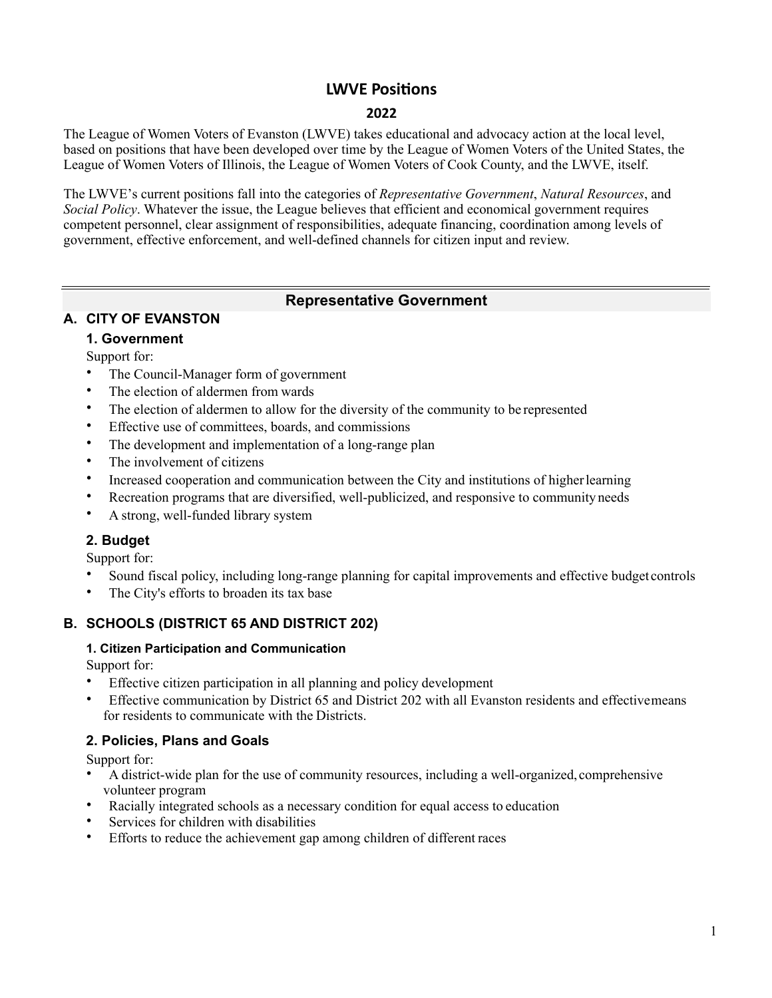## **LWVE Positions**

#### 2022

The League of Women Voters of Evanston (LWVE) takes educational and advocacy action at the local level, based on positions that have been developed over time by the League of Women Voters of the United States, the League of Women Voters of Illinois, the League of Women Voters of Cook County, and the LWVE, itself.

The LWVE's current positions fall into the categories of Representative Government, Natural Resources, and Social Policy. Whatever the issue, the League believes that efficient and economical government requires competent personnel, clear assignment of responsibilities, adequate financing, coordination among levels of government, effective enforcement, and well-defined channels for citizen input and review.

## **Representative Government**

## **A. CITY OF EVANSTON**

## **1. Government**

Support for:

- The Council-Manager form of government
- The election of aldermen from wards
- The election of aldermen to allow for the diversity of the community to be represented
- Effective use of committees, boards, and commissions
- The development and implementation of a long-range plan
- The involvement of citizens
- Increased cooperation and communication between the City and institutions of higherlearning
- Recreation programs that are diversified, well-publicized, and responsive to community needs
- A strong, well-funded library system

## **2. Budget**

Support for:

- Sound fiscal policy, including long-range planning for capital improvements and effective budget controls
- The City's efforts to broaden its tax base

## **B. SCHOOLS (DISTRICT 65 AND DISTRICT 202)**

#### **1. Citizen Participation and Communication**

Support for:

- Effective citizen participation in all planning and policy development
- Effective communication by District 65 and District 202 with all Evanston residents and effectivemeans for residents to communicate with the Districts.

## **2. Policies, Plans and Goals**

- A district-wide plan for the use of community resources, including a well-organized, comprehensive volunteer program
- Racially integrated schools as a necessary condition for equal access to education
- Services for children with disabilities
- Efforts to reduce the achievement gap among children of different races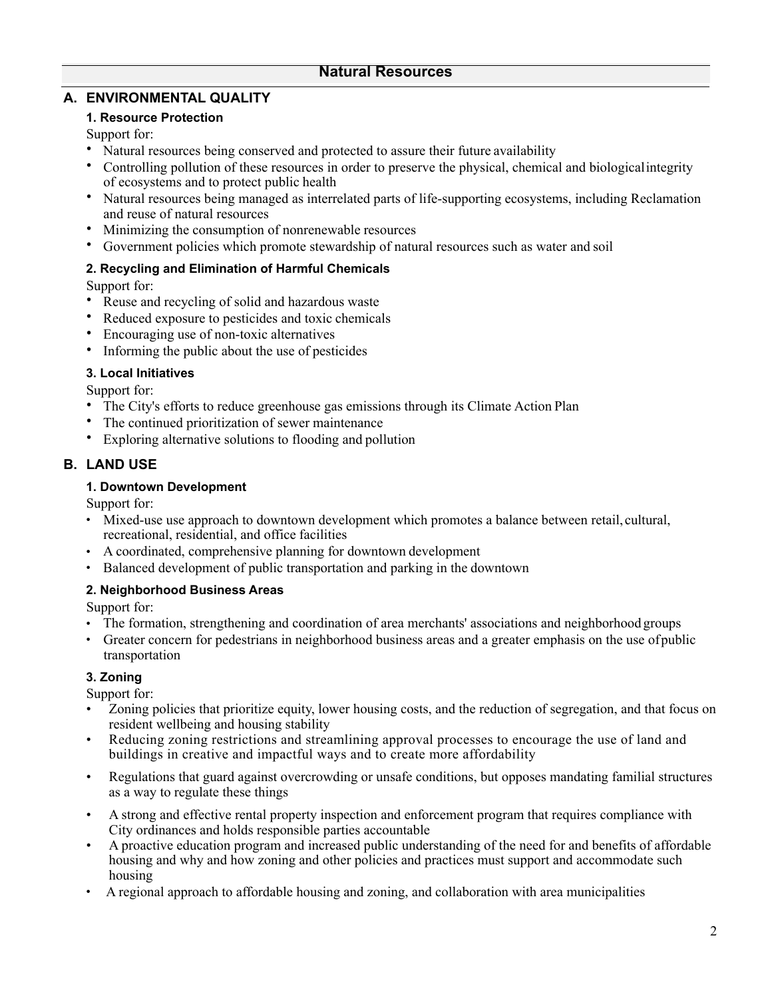## **A. ENVIRONMENTAL QUALITY**

#### **1. Resource Protection**

Support for:

- Natural resources being conserved and protected to assure their future availability
- Controlling pollution of these resources in order to preserve the physical, chemical and biologicalintegrity of ecosystems and to protect public health
- Natural resources being managed as interrelated parts of life-supporting ecosystems, including Reclamation and reuse of natural resources
- Minimizing the consumption of nonrenewable resources
- Government policies which promote stewardship of natural resources such as water and soil

#### **2. Recycling and Elimination of Harmful Chemicals**

Support for:

- Reuse and recycling of solid and hazardous waste
- Reduced exposure to pesticides and toxic chemicals
- Encouraging use of non-toxic alternatives
- Informing the public about the use of pesticides

#### **3. Local Initiatives**

Support for:

- The City's efforts to reduce greenhouse gas emissions through its Climate Action Plan
- The continued prioritization of sewer maintenance
- Exploring alternative solutions to flooding and pollution

### **B. LAND USE**

#### **1. Downtown Development**

Support for:

- Mixed-use use approach to downtown development which promotes a balance between retail, cultural, recreational, residential, and office facilities
- A coordinated, comprehensive planning for downtown development
- Balanced development of public transportation and parking in the downtown

#### **2. Neighborhood Business Areas**

Support for:

- The formation, strengthening and coordination of area merchants' associations and neighborhood groups
- Greater concern for pedestrians in neighborhood business areas and a greater emphasis on the use ofpublic transportation

#### **3. Zoning**

- Zoning policies that prioritize equity, lower housing costs, and the reduction of segregation, and that focus on resident wellbeing and housing stability
- Reducing zoning restrictions and streamlining approval processes to encourage the use of land and buildings in creative and impactful ways and to create more affordability
- Regulations that guard against overcrowding or unsafe conditions, but opposes mandating familial structures as a way to regulate these things
- A strong and effective rental property inspection and enforcement program that requires compliance with City ordinances and holds responsible parties accountable
- A proactive education program and increased public understanding of the need for and benefits of affordable housing and why and how zoning and other policies and practices must support and accommodate such housing
- A regional approach to affordable housing and zoning, and collaboration with area municipalities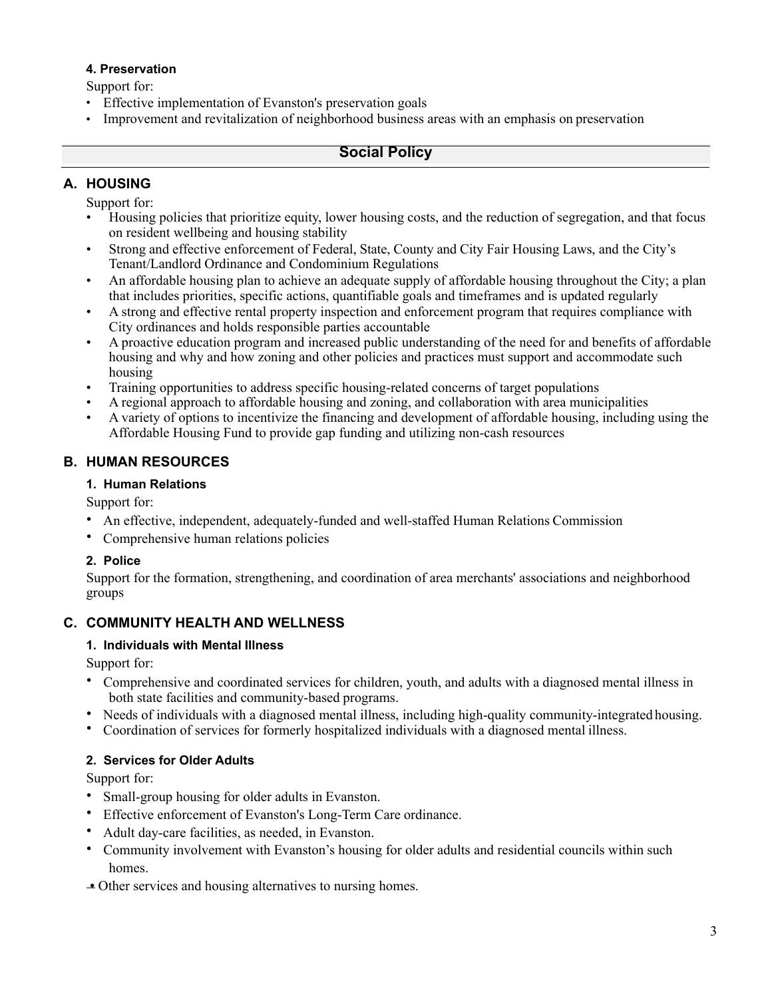#### **4. Preservation**

Support for:

- Effective implementation of Evanston's preservation goals
- Improvement and revitalization of neighborhood business areas with an emphasis on preservation

## **Social Policy**

## **A. HOUSING**

Support for:

- Housing policies that prioritize equity, lower housing costs, and the reduction of segregation, and that focus on resident wellbeing and housing stability
- Strong and effective enforcement of Federal, State, County and City Fair Housing Laws, and the City's Tenant/Landlord Ordinance and Condominium Regulations
- An affordable housing plan to achieve an adequate supply of affordable housing throughout the City; a plan that includes priorities, specific actions, quantifiable goals and timeframes and is updated regularly
- A strong and effective rental property inspection and enforcement program that requires compliance with City ordinances and holds responsible parties accountable
- A proactive education program and increased public understanding of the need for and benefits of affordable housing and why and how zoning and other policies and practices must support and accommodate such housing
- Training opportunities to address specific housing-related concerns of target populations
- A regional approach to affordable housing and zoning, and collaboration with area municipalities
- A variety of options to incentivize the financing and development of affordable housing, including using the Affordable Housing Fund to provide gap funding and utilizing non-cash resources

## **B. HUMAN RESOURCES**

### **1. Human Relations**

Support for:

- An effective, independent, adequately-funded and well-staffed Human Relations Commission
- Comprehensive human relations policies

## **2. Police**

Support for the formation, strengthening, and coordination of area merchants' associations and neighborhood groups

## **C. COMMUNITY HEALTH AND WELLNESS**

## **1. Individuals with Mental Illness**

Support for:

- Comprehensive and coordinated services for children, youth, and adults with a diagnosed mental illness in both state facilities and community-based programs.
- Needs of individuals with a diagnosed mental illness, including high-quality community-integrated housing.
- Coordination of services for formerly hospitalized individuals with a diagnosed mental illness.

## **2. Services for Older Adults**

- Small-group housing for older adults in Evanston.
- Effective enforcement of Evanston's Long-Term Care ordinance.
- Adult day-care facilities, as needed, in Evanston.
- Community involvement with Evanston's housing for older adults and residential councils within such homes.
- Other services and housing alternatives to nursing homes.